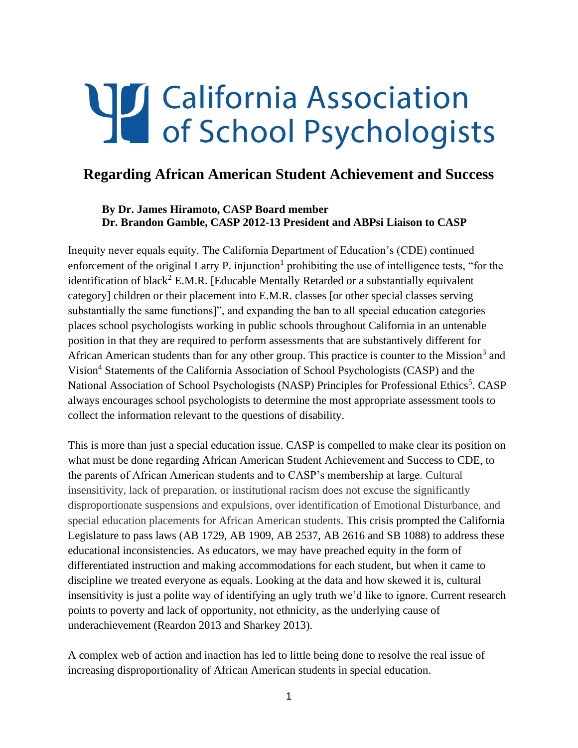# Talifornia Association<br>
of School Psychologists

# **Regarding African American Student Achievement and Success**

### **By Dr. James Hiramoto, CASP Board member Dr. Brandon Gamble, CASP 2012-13 President and ABPsi Liaison to CASP**

Inequity never equals equity. The California Department of Education's (CDE) continued enforcement of the original Larry P. injunction<sup>1</sup> prohibiting the use of intelligence tests, "for the identification of black<sup>2</sup> E.M.R. [Educable Mentally Retarded or a substantially equivalent category] children or their placement into E.M.R. classes [or other special classes serving substantially the same functions]", and expanding the ban to all special education categories places school psychologists working in public schools throughout California in an untenable position in that they are required to perform assessments that are substantively different for African American students than for any other group. This practice is counter to the Mission<sup>3</sup> and Vision<sup>4</sup> Statements of the California Association of School Psychologists (CASP) and the National Association of School Psychologists (NASP) Principles for Professional Ethics<sup>5</sup>. CASP always encourages school psychologists to determine the most appropriate assessment tools to collect the information relevant to the questions of disability.

This is more than just a special education issue. CASP is compelled to make clear its position on what must be done regarding African American Student Achievement and Success to CDE, to the parents of African American students and to CASP's membership at large. Cultural insensitivity, lack of preparation, or institutional racism does not excuse the significantly disproportionate suspensions and expulsions, over identification of Emotional Disturbance, and special education placements for African American students. This crisis prompted the California Legislature to pass laws (AB 1729, AB 1909, AB 2537, AB 2616 and SB 1088) to address these educational inconsistencies. As educators, we may have preached equity in the form of differentiated instruction and making accommodations for each student, but when it came to discipline we treated everyone as equals. Looking at the data and how skewed it is, cultural insensitivity is just a polite way of identifying an ugly truth we'd like to ignore. Current research points to poverty and lack of opportunity, not ethnicity, as the underlying cause of underachievement (Reardon 2013 and Sharkey 2013).

A complex web of action and inaction has led to little being done to resolve the real issue of increasing disproportionality of African American students in special education.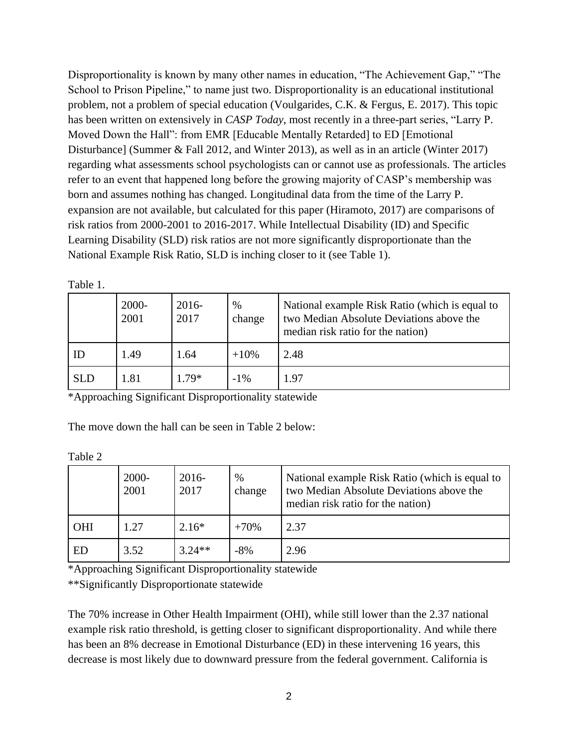Disproportionality is known by many other names in education, "The Achievement Gap," "The School to Prison Pipeline," to name just two. Disproportionality is an educational institutional problem, not a problem of special education (Voulgarides, C.K. & Fergus, E. 2017). This topic has been written on extensively in *CASP Today*, most recently in a three-part series, "Larry P. Moved Down the Hall": from EMR [Educable Mentally Retarded] to ED [Emotional Disturbance] (Summer & Fall 2012, and Winter 2013), as well as in an article (Winter 2017) regarding what assessments school psychologists can or cannot use as professionals. The articles refer to an event that happened long before the growing majority of CASP's membership was born and assumes nothing has changed. Longitudinal data from the time of the Larry P. expansion are not available, but calculated for this paper (Hiramoto, 2017) are comparisons of risk ratios from 2000-2001 to 2016-2017. While Intellectual Disability (ID) and Specific Learning Disability (SLD) risk ratios are not more significantly disproportionate than the National Example Risk Ratio, SLD is inching closer to it (see Table 1).

|            | 2000-<br>2001 | $2016-$<br>2017 | $\%$<br>change | National example Risk Ratio (which is equal to<br>two Median Absolute Deviations above the<br>median risk ratio for the nation) |
|------------|---------------|-----------------|----------------|---------------------------------------------------------------------------------------------------------------------------------|
| ID         | 1.49          | 1.64            | $+10%$         | 2.48                                                                                                                            |
| <b>SLD</b> | 1.81          | $1.79*$         | $-1\%$         | 1.97                                                                                                                            |

Table 1.

\*Approaching Significant Disproportionality statewide

The move down the hall can be seen in Table 2 below:

Table 2

|            | 2000-<br>2001 | $2016 -$<br>2017 | $\%$<br>change | National example Risk Ratio (which is equal to<br>two Median Absolute Deviations above the<br>median risk ratio for the nation) |
|------------|---------------|------------------|----------------|---------------------------------------------------------------------------------------------------------------------------------|
| <b>OHI</b> | 1.27          | $2.16*$          | $+70%$         | 2.37                                                                                                                            |
| ED         | 3.52          | $3.24**$         | -8%            | 2.96                                                                                                                            |

\*Approaching Significant Disproportionality statewide

\*\*Significantly Disproportionate statewide

The 70% increase in Other Health Impairment (OHI), while still lower than the 2.37 national example risk ratio threshold, is getting closer to significant disproportionality. And while there has been an 8% decrease in Emotional Disturbance (ED) in these intervening 16 years, this decrease is most likely due to downward pressure from the federal government. California is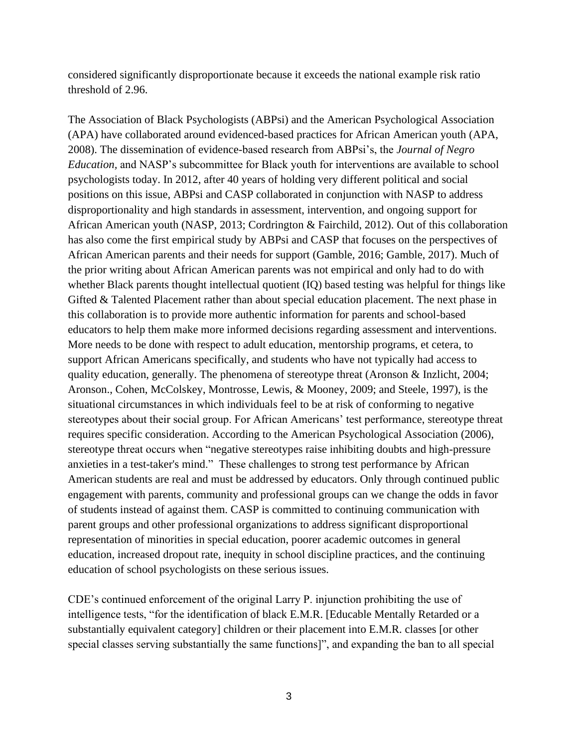considered significantly disproportionate because it exceeds the national example risk ratio threshold of 2.96.

The Association of Black Psychologists (ABPsi) and the American Psychological Association (APA) have collaborated around evidenced-based practices for African American youth (APA, 2008). The dissemination of evidence-based research from ABPsi's, the *Journal of Negro Education,* and NASP's subcommittee for Black youth for interventions are available to school psychologists today. In 2012, after 40 years of holding very different political and social positions on this issue, ABPsi and CASP collaborated in conjunction with NASP to address disproportionality and high standards in assessment, intervention, and ongoing support for African American youth (NASP, 2013; Cordrington & Fairchild, 2012). Out of this collaboration has also come the first empirical study by ABPsi and CASP that focuses on the perspectives of African American parents and their needs for support (Gamble, 2016; Gamble, 2017). Much of the prior writing about African American parents was not empirical and only had to do with whether Black parents thought intellectual quotient (IQ) based testing was helpful for things like Gifted & Talented Placement rather than about special education placement. The next phase in this collaboration is to provide more authentic information for parents and school-based educators to help them make more informed decisions regarding assessment and interventions. More needs to be done with respect to adult education, mentorship programs, et cetera, to support African Americans specifically, and students who have not typically had access to quality education, generally. The phenomena of stereotype threat (Aronson & Inzlicht, 2004; Aronson., Cohen, McColskey, Montrosse, Lewis, & Mooney, 2009; and Steele, 1997), is the situational circumstances in which individuals feel to be at risk of conforming to negative stereotypes about their social group. For African Americans' test performance, stereotype threat requires specific consideration. According to the American Psychological Association (2006), stereotype threat occurs when "negative stereotypes raise inhibiting doubts and high-pressure anxieties in a test-taker's mind." These challenges to strong test performance by African American students are real and must be addressed by educators. Only through continued public engagement with parents, community and professional groups can we change the odds in favor of students instead of against them. CASP is committed to continuing communication with parent groups and other professional organizations to address significant disproportional representation of minorities in special education, poorer academic outcomes in general education, increased dropout rate, inequity in school discipline practices, and the continuing education of school psychologists on these serious issues.

CDE's continued enforcement of the original Larry P. injunction prohibiting the use of intelligence tests, "for the identification of black E.M.R. [Educable Mentally Retarded or a substantially equivalent category] children or their placement into E.M.R. classes [or other special classes serving substantially the same functions]", and expanding the ban to all special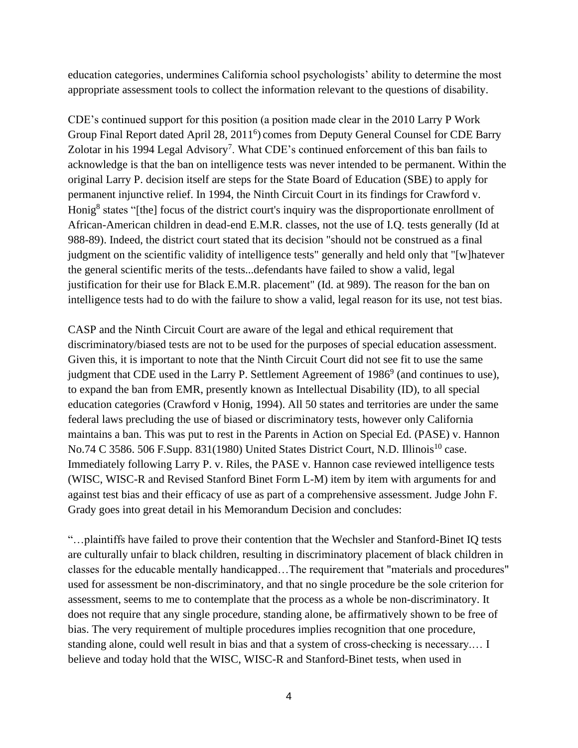education categories, undermines California school psychologists' ability to determine the most appropriate assessment tools to collect the information relevant to the questions of disability.

CDE's continued support for this position (a position made clear in the 2010 Larry P Work Group Final Report dated April 28, 2011<sup>6</sup>) comes from Deputy General Counsel for CDE Barry Zolotar in his 1994 Legal Advisory<sup>7</sup>. What CDE's continued enforcement of this ban fails to acknowledge is that the ban on intelligence tests was never intended to be permanent. Within the original Larry P. decision itself are steps for the State Board of Education (SBE) to apply for permanent injunctive relief. In 1994, the Ninth Circuit Court in its findings for Crawford v. Honig<sup>8</sup> states "[the] focus of the district court's inquiry was the disproportionate enrollment of African-American children in dead-end E.M.R. classes, not the use of I.Q. tests generally (Id at 988-89). Indeed, the district court stated that its decision "should not be construed as a final judgment on the scientific validity of intelligence tests" generally and held only that "[w]hatever the general scientific merits of the tests...defendants have failed to show a valid, legal justification for their use for Black E.M.R. placement" (Id. at 989). The reason for the ban on intelligence tests had to do with the failure to show a valid, legal reason for its use, not test bias.

CASP and the Ninth Circuit Court are aware of the legal and ethical requirement that discriminatory/biased tests are not to be used for the purposes of special education assessment. Given this, it is important to note that the Ninth Circuit Court did not see fit to use the same judgment that CDE used in the Larry P. Settlement Agreement of 1986<sup>9</sup> (and continues to use), to expand the ban from EMR, presently known as Intellectual Disability (ID), to all special education categories (Crawford v Honig, 1994). All 50 states and territories are under the same federal laws precluding the use of biased or discriminatory tests, however only California maintains a ban. This was put to rest in the Parents in Action on Special Ed. (PASE) v. Hannon No.74 C 3586. 506 F.Supp. 831(1980) United States District Court, N.D. Illinois<sup>10</sup> case. Immediately following Larry P. v. Riles, the PASE v. Hannon case reviewed intelligence tests (WISC, WISC-R and Revised Stanford Binet Form L-M) item by item with arguments for and against test bias and their efficacy of use as part of a comprehensive assessment. Judge John F. Grady goes into great detail in his Memorandum Decision and concludes:

"…plaintiffs have failed to prove their contention that the Wechsler and Stanford-Binet IQ tests are culturally unfair to black children, resulting in discriminatory placement of black children in classes for the educable mentally handicapped…The requirement that "materials and procedures" used for assessment be non-discriminatory, and that no single procedure be the sole criterion for assessment, seems to me to contemplate that the process as a whole be non-discriminatory. It does not require that any single procedure, standing alone, be affirmatively shown to be free of bias. The very requirement of multiple procedures implies recognition that one procedure, standing alone, could well result in bias and that a system of cross-checking is necessary.… I believe and today hold that the WISC, WISC-R and Stanford-Binet tests, when used in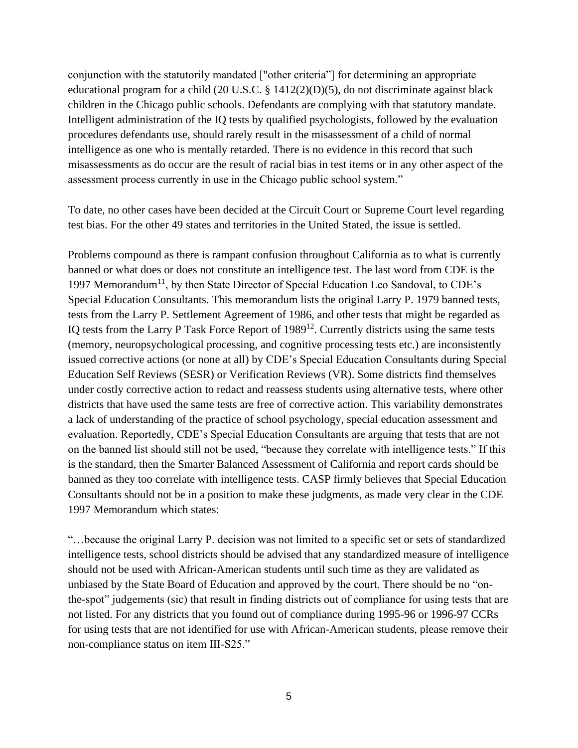conjunction with the statutorily mandated ["other criteria"] for determining an appropriate educational program for a child (20 U.S.C. § 1412(2)(D)(5), do not discriminate against black children in the Chicago public schools. Defendants are complying with that statutory mandate. Intelligent administration of the IQ tests by qualified psychologists, followed by the evaluation procedures defendants use, should rarely result in the misassessment of a child of normal intelligence as one who is mentally retarded. There is no evidence in this record that such misassessments as do occur are the result of racial bias in test items or in any other aspect of the assessment process currently in use in the Chicago public school system."

To date, no other cases have been decided at the Circuit Court or Supreme Court level regarding test bias. For the other 49 states and territories in the United Stated, the issue is settled.

Problems compound as there is rampant confusion throughout California as to what is currently banned or what does or does not constitute an intelligence test. The last word from CDE is the 1997 Memorandum<sup>11</sup>, by then State Director of Special Education Leo Sandoval, to CDE's Special Education Consultants. This memorandum lists the original Larry P. 1979 banned tests, tests from the Larry P. Settlement Agreement of 1986, and other tests that might be regarded as IQ tests from the Larry P Task Force Report of 1989<sup>12</sup>. Currently districts using the same tests (memory, neuropsychological processing, and cognitive processing tests etc.) are inconsistently issued corrective actions (or none at all) by CDE's Special Education Consultants during Special Education Self Reviews (SESR) or Verification Reviews (VR). Some districts find themselves under costly corrective action to redact and reassess students using alternative tests, where other districts that have used the same tests are free of corrective action. This variability demonstrates a lack of understanding of the practice of school psychology, special education assessment and evaluation. Reportedly, CDE's Special Education Consultants are arguing that tests that are not on the banned list should still not be used, "because they correlate with intelligence tests." If this is the standard, then the Smarter Balanced Assessment of California and report cards should be banned as they too correlate with intelligence tests. CASP firmly believes that Special Education Consultants should not be in a position to make these judgments, as made very clear in the CDE 1997 Memorandum which states:

"…because the original Larry P. decision was not limited to a specific set or sets of standardized intelligence tests, school districts should be advised that any standardized measure of intelligence should not be used with African-American students until such time as they are validated as unbiased by the State Board of Education and approved by the court. There should be no "onthe-spot" judgements (sic) that result in finding districts out of compliance for using tests that are not listed. For any districts that you found out of compliance during 1995-96 or 1996-97 CCRs for using tests that are not identified for use with African-American students, please remove their non-compliance status on item III-S25."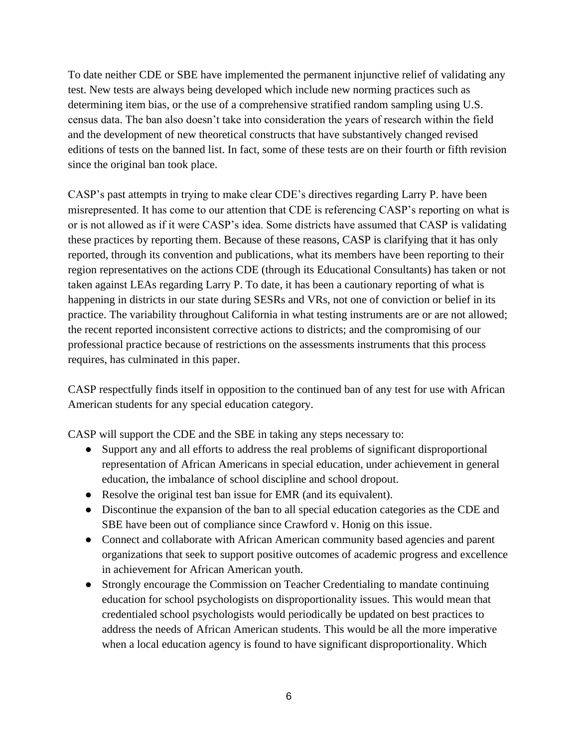To date neither CDE or SBE have implemented the permanent injunctive relief of validating any test. New tests are always being developed which include new norming practices such as determining item bias, or the use of a comprehensive stratified random sampling using U.S. census data. The ban also doesn't take into consideration the years of research within the field and the development of new theoretical constructs that have substantively changed revised editions of tests on the banned list. In fact, some of these tests are on their fourth or fifth revision since the original ban took place.

CASP's past attempts in trying to make clear CDE's directives regarding Larry P. have been misrepresented. It has come to our attention that CDE is referencing CASP's reporting on what is or is not allowed as if it were CASP's idea. Some districts have assumed that CASP is validating these practices by reporting them. Because of these reasons, CASP is clarifying that it has only reported, through its convention and publications, what its members have been reporting to their region representatives on the actions CDE (through its Educational Consultants) has taken or not taken against LEAs regarding Larry P. To date, it has been a cautionary reporting of what is happening in districts in our state during SESRs and VRs, not one of conviction or belief in its practice. The variability throughout California in what testing instruments are or are not allowed; the recent reported inconsistent corrective actions to districts; and the compromising of our professional practice because of restrictions on the assessments instruments that this process requires, has culminated in this paper.

CASP respectfully finds itself in opposition to the continued ban of any test for use with African American students for any special education category.

CASP will support the CDE and the SBE in taking any steps necessary to:

- Support any and all efforts to address the real problems of significant disproportional representation of African Americans in special education, under achievement in general education, the imbalance of school discipline and school dropout.
- Resolve the original test ban issue for EMR (and its equivalent).
- Discontinue the expansion of the ban to all special education categories as the CDE and SBE have been out of compliance since Crawford v. Honig on this issue.
- Connect and collaborate with African American community based agencies and parent organizations that seek to support positive outcomes of academic progress and excellence in achievement for African American youth.
- Strongly encourage the Commission on Teacher Credentialing to mandate continuing education for school psychologists on disproportionality issues. This would mean that credentialed school psychologists would periodically be updated on best practices to address the needs of African American students. This would be all the more imperative when a local education agency is found to have significant disproportionality. Which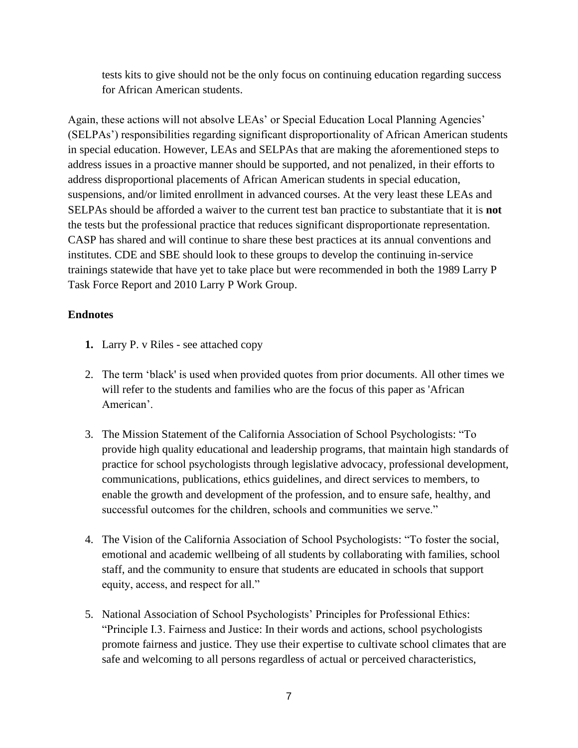tests kits to give should not be the only focus on continuing education regarding success for African American students.

Again, these actions will not absolve LEAs' or Special Education Local Planning Agencies' (SELPAs') responsibilities regarding significant disproportionality of African American students in special education. However, LEAs and SELPAs that are making the aforementioned steps to address issues in a proactive manner should be supported, and not penalized, in their efforts to address disproportional placements of African American students in special education, suspensions, and/or limited enrollment in advanced courses. At the very least these LEAs and SELPAs should be afforded a waiver to the current test ban practice to substantiate that it is **not**  the tests but the professional practice that reduces significant disproportionate representation. CASP has shared and will continue to share these best practices at its annual conventions and institutes. CDE and SBE should look to these groups to develop the continuing in-service trainings statewide that have yet to take place but were recommended in both the 1989 Larry P Task Force Report and 2010 Larry P Work Group.

## **Endnotes**

- **1.** Larry P. v Riles see attached copy
- 2. The term 'black' is used when provided quotes from prior documents. All other times we will refer to the students and families who are the focus of this paper as 'African American'.
- 3. The Mission Statement of the California Association of School Psychologists: "To provide high quality educational and leadership programs, that maintain high standards of practice for school psychologists through legislative advocacy, professional development, communications, publications, ethics guidelines, and direct services to members, to enable the growth and development of the profession, and to ensure safe, healthy, and successful outcomes for the children, schools and communities we serve."
- 4. The Vision of the California Association of School Psychologists: "To foster the social, emotional and academic wellbeing of all students by collaborating with families, school staff, and the community to ensure that students are educated in schools that support equity, access, and respect for all."
- 5. National Association of School Psychologists' Principles for Professional Ethics: "Principle I.3. Fairness and Justice: In their words and actions, school psychologists promote fairness and justice. They use their expertise to cultivate school climates that are safe and welcoming to all persons regardless of actual or perceived characteristics,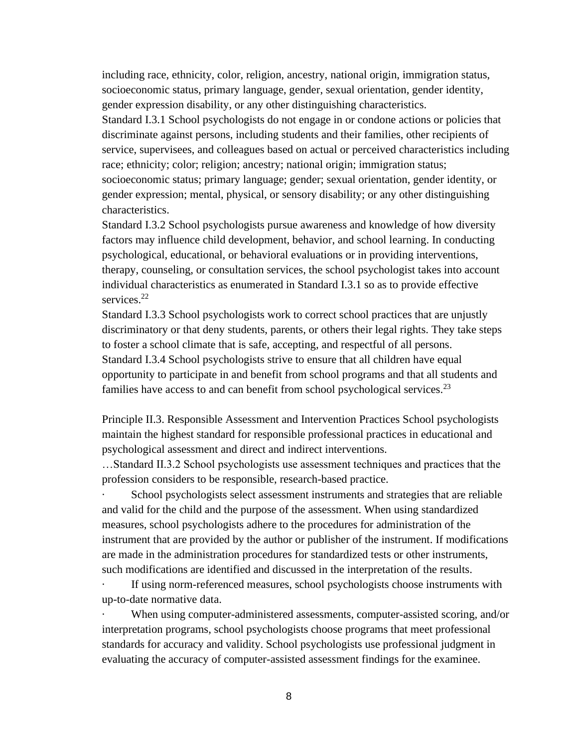including race, ethnicity, color, religion, ancestry, national origin, immigration status, socioeconomic status, primary language, gender, sexual orientation, gender identity, gender expression disability, or any other distinguishing characteristics.

Standard I.3.1 School psychologists do not engage in or condone actions or policies that discriminate against persons, including students and their families, other recipients of service, supervisees, and colleagues based on actual or perceived characteristics including race; ethnicity; color; religion; ancestry; national origin; immigration status; socioeconomic status; primary language; gender; sexual orientation, gender identity, or gender expression; mental, physical, or sensory disability; or any other distinguishing characteristics.

Standard I.3.2 School psychologists pursue awareness and knowledge of how diversity factors may influence child development, behavior, and school learning. In conducting psychological, educational, or behavioral evaluations or in providing interventions, therapy, counseling, or consultation services, the school psychologist takes into account individual characteristics as enumerated in Standard I.3.1 so as to provide effective services<sup>22</sup>

Standard I.3.3 School psychologists work to correct school practices that are unjustly discriminatory or that deny students, parents, or others their legal rights. They take steps to foster a school climate that is safe, accepting, and respectful of all persons. Standard I.3.4 School psychologists strive to ensure that all children have equal opportunity to participate in and benefit from school programs and that all students and families have access to and can benefit from school psychological services.<sup>23</sup>

Principle II.3. Responsible Assessment and Intervention Practices School psychologists maintain the highest standard for responsible professional practices in educational and psychological assessment and direct and indirect interventions.

…Standard II.3.2 School psychologists use assessment techniques and practices that the profession considers to be responsible, research-based practice.

School psychologists select assessment instruments and strategies that are reliable and valid for the child and the purpose of the assessment. When using standardized measures, school psychologists adhere to the procedures for administration of the instrument that are provided by the author or publisher of the instrument. If modifications are made in the administration procedures for standardized tests or other instruments, such modifications are identified and discussed in the interpretation of the results.

If using norm-referenced measures, school psychologists choose instruments with up-to-date normative data.

When using computer-administered assessments, computer-assisted scoring, and/or interpretation programs, school psychologists choose programs that meet professional standards for accuracy and validity. School psychologists use professional judgment in evaluating the accuracy of computer-assisted assessment findings for the examinee.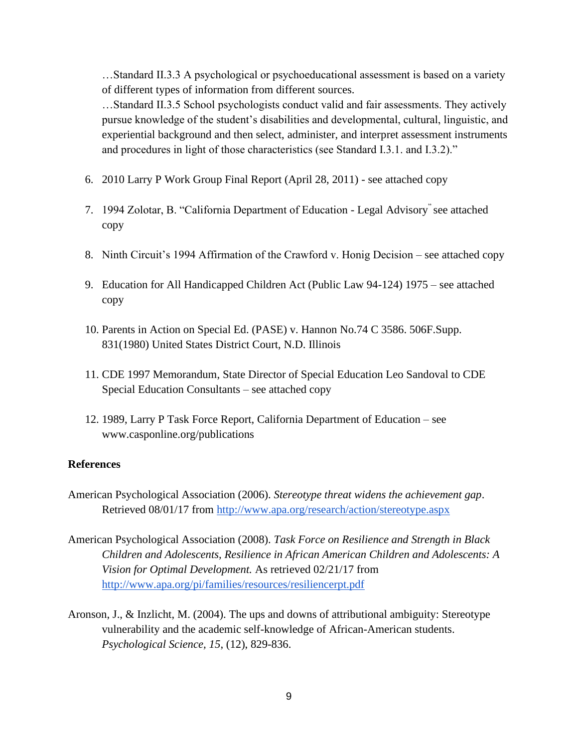…Standard II.3.3 A psychological or psychoeducational assessment is based on a variety of different types of information from different sources.

…Standard II.3.5 School psychologists conduct valid and fair assessments. They actively pursue knowledge of the student's disabilities and developmental, cultural, linguistic, and experiential background and then select, administer, and interpret assessment instruments and procedures in light of those characteristics (see Standard I.3.1. and I.3.2)."

- 6. 2010 Larry P Work Group Final Report (April 28, 2011) see attached copy
- 7. 1994 Zolotar, B. "California Department of Education Legal Advisory" see attached copy
- 8. Ninth Circuit's 1994 Affirmation of the Crawford v. Honig Decision see attached copy
- 9. Education for All Handicapped Children Act (Public Law 94-124) 1975 see attached copy
- 10. Parents in Action on Special Ed. (PASE) v. Hannon No.74 C 3586. 506F.Supp. 831(1980) United States District Court, N.D. Illinois
- 11. CDE 1997 Memorandum, State Director of Special Education Leo Sandoval to CDE Special Education Consultants – see attached copy
- 12. 1989, Larry P Task Force Report, California Department of Education see www.casponline.org/publications

### **References**

- American Psychological Association (2006). *Stereotype threat widens the achievement gap*. Retrieved 08/01/17 from<http://www.apa.org/research/action/stereotype.aspx>
- American Psychological Association (2008). *Task Force on Resilience and Strength in Black Children and Adolescents, Resilience in African American Children and Adolescents: A Vision for Optimal Development.* As retrieved 02/21/17 from [http://www.apa.org/pi/families/resources/resiliencerpt.pdf](https://www.apa.org/pi/families/resources/resiliencerpt.pdf)
- Aronson, J., & Inzlicht, M. (2004). The ups and downs of attributional ambiguity: Stereotype vulnerability and the academic self-knowledge of African-American students. *Psychological Science, 15*, (12), 829-836.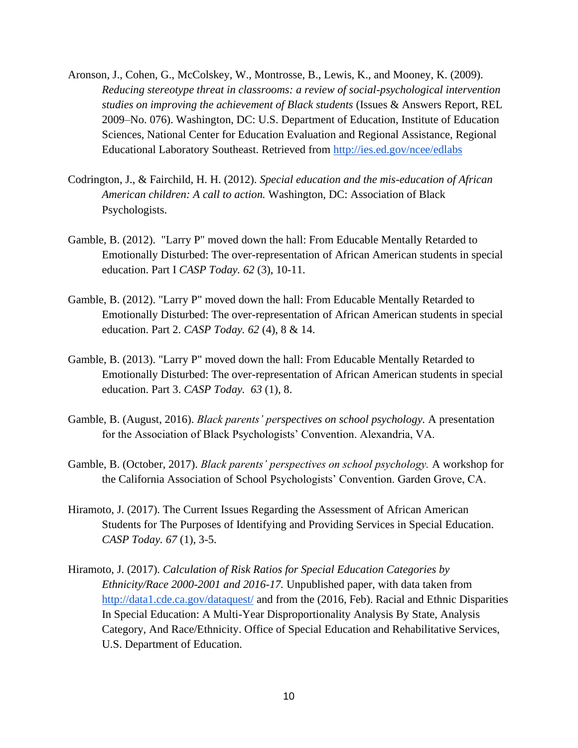- Aronson, J., Cohen, G., McColskey, W., Montrosse, B., Lewis, K., and Mooney, K. (2009). *Reducing stereotype threat in classrooms: a review of social-psychological intervention studies on improving the achievement of Black students* (Issues & Answers Report, REL 2009–No. 076). Washington, DC: U.S. Department of Education, Institute of Education Sciences, National Center for Education Evaluation and Regional Assistance, Regional Educational Laboratory Southeast. Retrieved from<http://ies.ed.gov/ncee/edlabs>
- Codrington, J., & Fairchild, H. H. (2012). *Special education and the mis-education of African American children: A call to action.* Washington, DC: Association of Black Psychologists.
- Gamble, B. (2012). "Larry P" moved down the hall: From Educable Mentally Retarded to Emotionally Disturbed: The over-representation of African American students in special education. Part I *CASP Today. 62* (3), 10-11.
- Gamble, B. (2012). "Larry P" moved down the hall: From Educable Mentally Retarded to Emotionally Disturbed: The over-representation of African American students in special education. Part 2. *CASP Today. 62* (4), 8 & 14.
- Gamble, B. (2013). "Larry P" moved down the hall: From Educable Mentally Retarded to Emotionally Disturbed: The over-representation of African American students in special education. Part 3. *CASP Today. 63* (1), 8.
- Gamble, B. (August, 2016). *Black parents' perspectives on school psychology.* A presentation for the Association of Black Psychologists' Convention. Alexandria, VA.
- Gamble, B. (October, 2017). *Black parents' perspectives on school psychology.* A workshop for the California Association of School Psychologists' Convention. Garden Grove, CA.
- Hiramoto, J. (2017). The Current Issues Regarding the Assessment of African American Students for The Purposes of Identifying and Providing Services in Special Education. *CASP Today. 67* (1), 3-5.
- Hiramoto, J. (2017). *Calculation of Risk Ratios for Special Education Categories by Ethnicity/Race 2000-2001 and 2016-17.* Unpublished paper, with data taken from <http://data1.cde.ca.gov/dataquest/> and from the (2016, Feb). Racial and Ethnic Disparities In Special Education: A Multi-Year Disproportionality Analysis By State, Analysis Category, And Race/Ethnicity. Office of Special Education and Rehabilitative Services, U.S. Department of Education.